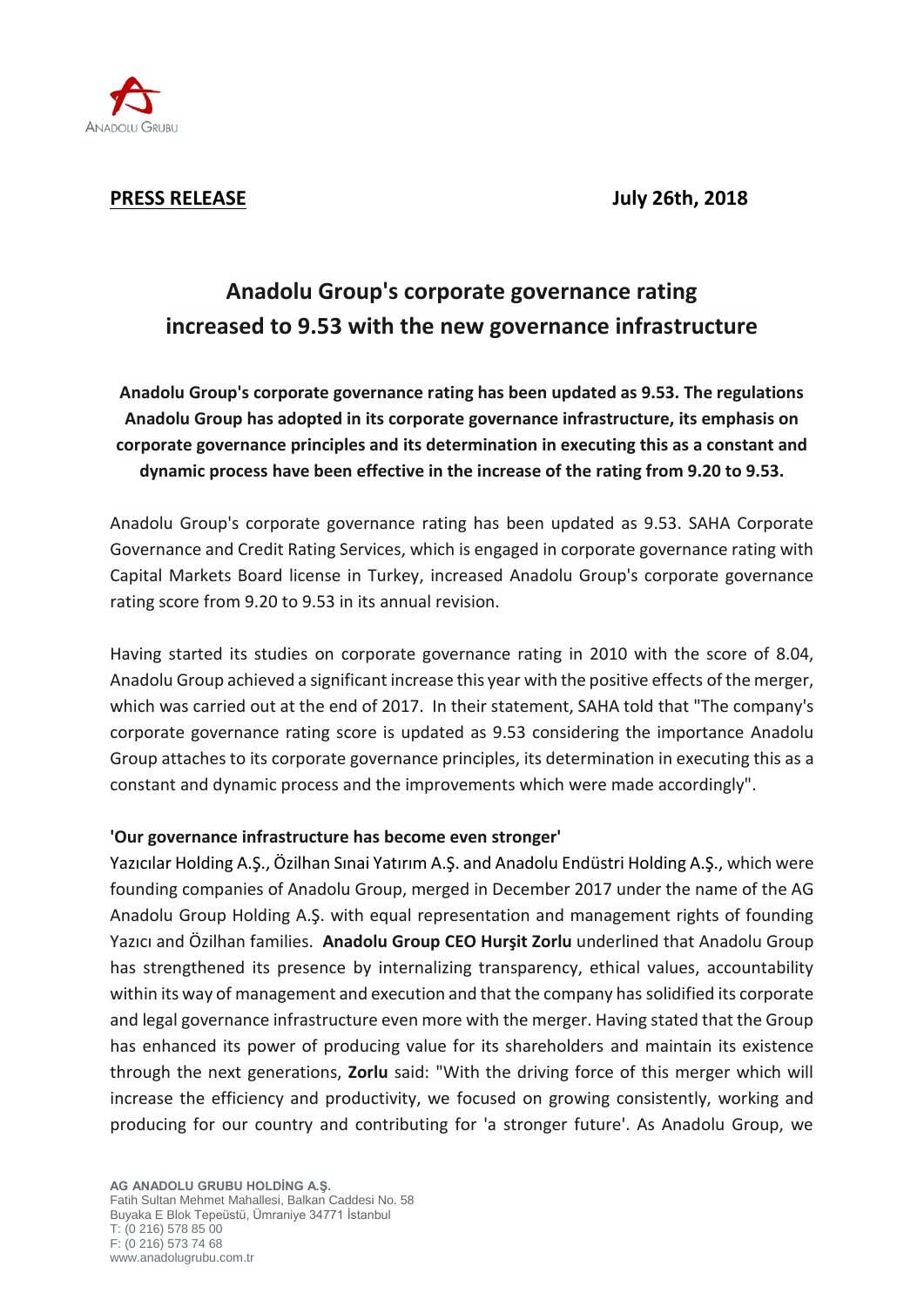

**PRESS RELEASE July 26th, 2018**

## **Anadolu Group's corporate governance rating increased to 9.53 with the new governance infrastructure**

**Anadolu Group's corporate governance rating has been updated as 9.53. The regulations Anadolu Group has adopted in its corporate governance infrastructure, its emphasis on corporate governance principles and its determination in executing this as a constant and dynamic process have been effective in the increase of the rating from 9.20 to 9.53.**

Anadolu Group's corporate governance rating has been updated as 9.53. SAHA Corporate Governance and Credit Rating Services, which is engaged in corporate governance rating with Capital Markets Board license in Turkey, increased Anadolu Group's corporate governance rating score from 9.20 to 9.53 in its annual revision.

Having started its studies on corporate governance rating in 2010 with the score of 8.04, Anadolu Group achieved a significant increase this year with the positive effects of the merger, which was carried out at the end of 2017. In their statement, SAHA told that "The company's corporate governance rating score is updated as 9.53 considering the importance Anadolu Group attaches to its corporate governance principles, its determination in executing this as a constant and dynamic process and the improvements which were made accordingly".

## **'Our governance infrastructure has become even stronger'**

Yazıcılar Holding A.Ş., Özilhan Sınai Yatırım A.Ş. and Anadolu Endüstri Holding A.Ş., which were founding companies of Anadolu Group, merged in December 2017 under the name of the AG Anadolu Group Holding A.Ş. with equal representation and management rights of founding Yazıcı and Özilhan families. **Anadolu Group CEO Hurşit Zorlu** underlined that Anadolu Group has strengthened its presence by internalizing transparency, ethical values, accountability within its way of management and execution and that the company has solidified its corporate and legal governance infrastructure even more with the merger. Having stated that the Group has enhanced its power of producing value for its shareholders and maintain its existence through the next generations, **Zorlu** said: "With the driving force of this merger which will increase the efficiency and productivity, we focused on growing consistently, working and producing for our country and contributing for 'a stronger future'. As Anadolu Group, we